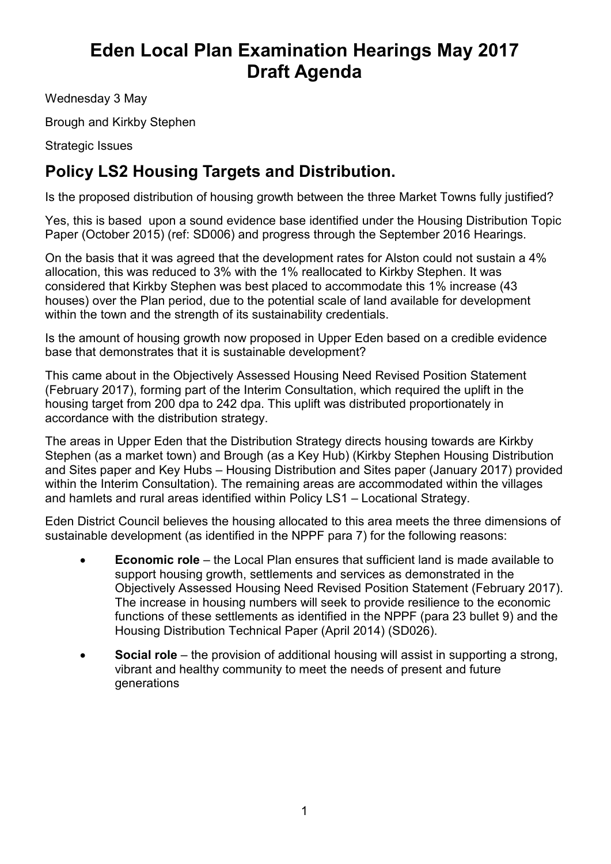## **Eden Local Plan Examination Hearings May 2017 Draft Agenda**

Wednesday 3 May

Brough and Kirkby Stephen

Strategic Issues

## **Policy LS2 Housing Targets and Distribution.**

Is the proposed distribution of housing growth between the three Market Towns fully justified?

Yes, this is based upon a sound evidence base identified under the Housing Distribution Topic Paper (October 2015) (ref: SD006) and progress through the September 2016 Hearings.

On the basis that it was agreed that the development rates for Alston could not sustain a 4% allocation, this was reduced to 3% with the 1% reallocated to Kirkby Stephen. It was considered that Kirkby Stephen was best placed to accommodate this 1% increase (43 houses) over the Plan period, due to the potential scale of land available for development within the town and the strength of its sustainability credentials.

Is the amount of housing growth now proposed in Upper Eden based on a credible evidence base that demonstrates that it is sustainable development?

This came about in the Objectively Assessed Housing Need Revised Position Statement (February 2017), forming part of the Interim Consultation, which required the uplift in the housing target from 200 dpa to 242 dpa. This uplift was distributed proportionately in accordance with the distribution strategy.

The areas in Upper Eden that the Distribution Strategy directs housing towards are Kirkby Stephen (as a market town) and Brough (as a Key Hub) (Kirkby Stephen Housing Distribution and Sites paper and Key Hubs – Housing Distribution and Sites paper (January 2017) provided within the Interim Consultation). The remaining areas are accommodated within the villages and hamlets and rural areas identified within Policy LS1 – Locational Strategy.

Eden District Council believes the housing allocated to this area meets the three dimensions of sustainable development (as identified in the NPPF para 7) for the following reasons:

- **Economic role** the Local Plan ensures that sufficient land is made available to support housing growth, settlements and services as demonstrated in the Objectively Assessed Housing Need Revised Position Statement (February 2017). The increase in housing numbers will seek to provide resilience to the economic functions of these settlements as identified in the NPPF (para 23 bullet 9) and the Housing Distribution Technical Paper (April 2014) (SD026).
- **Social role** the provision of additional housing will assist in supporting a strong, vibrant and healthy community to meet the needs of present and future generations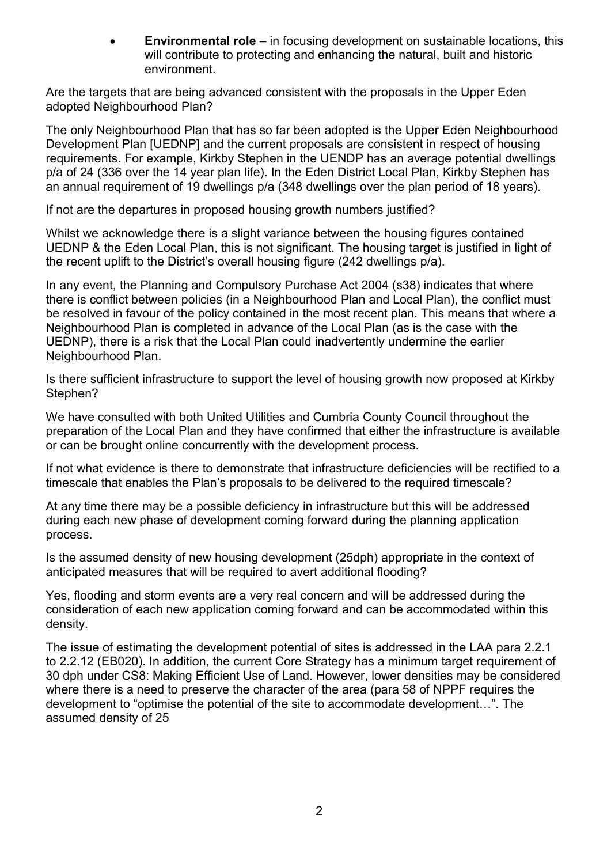**Environmental role** – in focusing development on sustainable locations, this will contribute to protecting and enhancing the natural, built and historic environment.

Are the targets that are being advanced consistent with the proposals in the Upper Eden adopted Neighbourhood Plan?

The only Neighbourhood Plan that has so far been adopted is the Upper Eden Neighbourhood Development Plan [UEDNP] and the current proposals are consistent in respect of housing requirements. For example, Kirkby Stephen in the UENDP has an average potential dwellings p/a of 24 (336 over the 14 year plan life). In the Eden District Local Plan, Kirkby Stephen has an annual requirement of 19 dwellings p/a (348 dwellings over the plan period of 18 years).

If not are the departures in proposed housing growth numbers justified?

Whilst we acknowledge there is a slight variance between the housing figures contained UEDNP & the Eden Local Plan, this is not significant. The housing target is justified in light of the recent uplift to the District's overall housing figure (242 dwellings p/a).

In any event, the Planning and Compulsory Purchase Act 2004 (s38) indicates that where there is conflict between policies (in a Neighbourhood Plan and Local Plan), the conflict must be resolved in favour of the policy contained in the most recent plan. This means that where a Neighbourhood Plan is completed in advance of the Local Plan (as is the case with the UEDNP), there is a risk that the Local Plan could inadvertently undermine the earlier Neighbourhood Plan.

Is there sufficient infrastructure to support the level of housing growth now proposed at Kirkby Stephen?

We have consulted with both United Utilities and Cumbria County Council throughout the preparation of the Local Plan and they have confirmed that either the infrastructure is available or can be brought online concurrently with the development process.

If not what evidence is there to demonstrate that infrastructure deficiencies will be rectified to a timescale that enables the Plan's proposals to be delivered to the required timescale?

At any time there may be a possible deficiency in infrastructure but this will be addressed during each new phase of development coming forward during the planning application process.

Is the assumed density of new housing development (25dph) appropriate in the context of anticipated measures that will be required to avert additional flooding?

Yes, flooding and storm events are a very real concern and will be addressed during the consideration of each new application coming forward and can be accommodated within this density.

The issue of estimating the development potential of sites is addressed in the LAA para 2.2.1 to 2.2.12 (EB020). In addition, the current Core Strategy has a minimum target requirement of 30 dph under CS8: Making Efficient Use of Land. However, lower densities may be considered where there is a need to preserve the character of the area (para 58 of NPPF requires the development to "optimise the potential of the site to accommodate development…". The assumed density of 25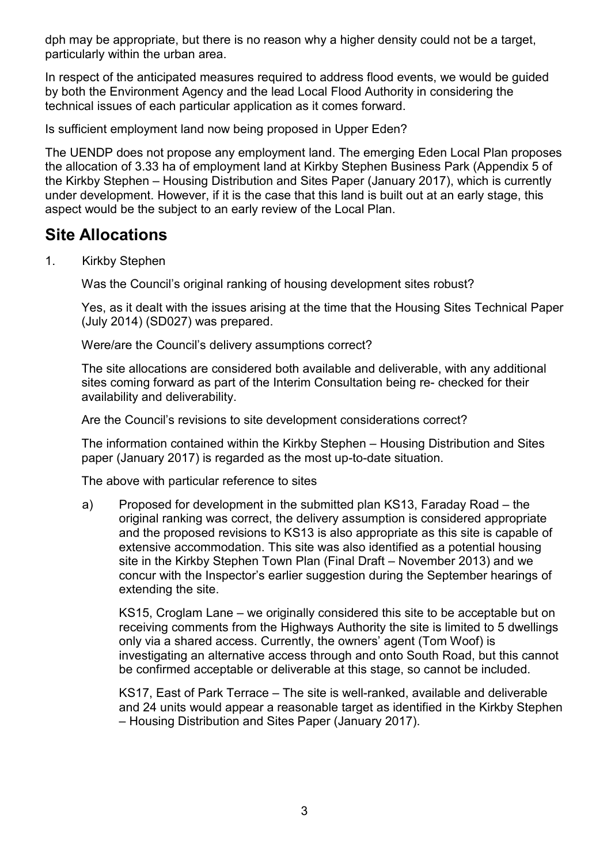dph may be appropriate, but there is no reason why a higher density could not be a target, particularly within the urban area.

In respect of the anticipated measures required to address flood events, we would be guided by both the Environment Agency and the lead Local Flood Authority in considering the technical issues of each particular application as it comes forward.

Is sufficient employment land now being proposed in Upper Eden?

The UENDP does not propose any employment land. The emerging Eden Local Plan proposes the allocation of 3.33 ha of employment land at Kirkby Stephen Business Park (Appendix 5 of the Kirkby Stephen – Housing Distribution and Sites Paper (January 2017), which is currently under development. However, if it is the case that this land is built out at an early stage, this aspect would be the subject to an early review of the Local Plan.

## **Site Allocations**

1. Kirkby Stephen

Was the Council's original ranking of housing development sites robust?

Yes, as it dealt with the issues arising at the time that the Housing Sites Technical Paper (July 2014) (SD027) was prepared.

Were/are the Council's delivery assumptions correct?

The site allocations are considered both available and deliverable, with any additional sites coming forward as part of the Interim Consultation being re- checked for their availability and deliverability.

Are the Council's revisions to site development considerations correct?

The information contained within the Kirkby Stephen – Housing Distribution and Sites paper (January 2017) is regarded as the most up-to-date situation.

The above with particular reference to sites

a) Proposed for development in the submitted plan KS13, Faraday Road – the original ranking was correct, the delivery assumption is considered appropriate and the proposed revisions to KS13 is also appropriate as this site is capable of extensive accommodation. This site was also identified as a potential housing site in the Kirkby Stephen Town Plan (Final Draft – November 2013) and we concur with the Inspector's earlier suggestion during the September hearings of extending the site.

KS15, Croglam Lane – we originally considered this site to be acceptable but on receiving comments from the Highways Authority the site is limited to 5 dwellings only via a shared access. Currently, the owners' agent (Tom Woof) is investigating an alternative access through and onto South Road, but this cannot be confirmed acceptable or deliverable at this stage, so cannot be included.

KS17, East of Park Terrace – The site is well-ranked, available and deliverable and 24 units would appear a reasonable target as identified in the Kirkby Stephen – Housing Distribution and Sites Paper (January 2017).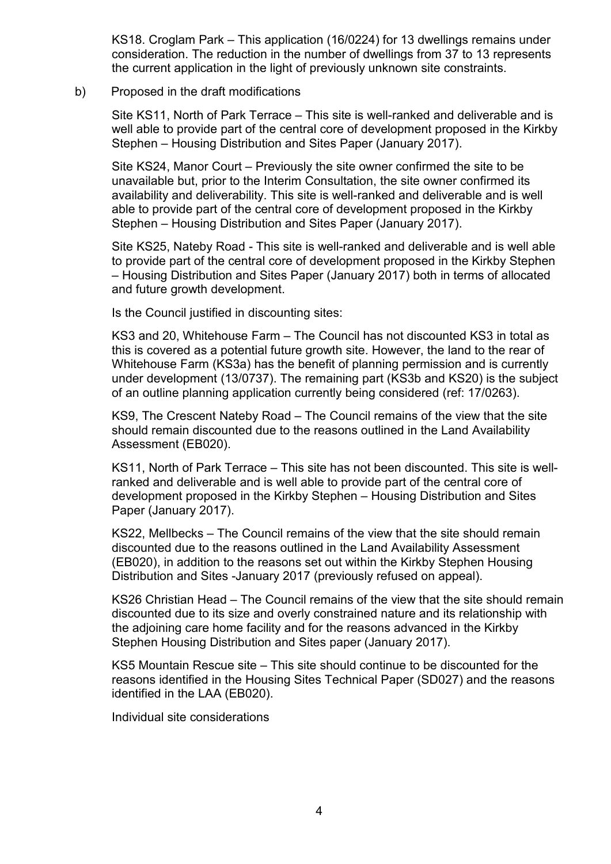KS18. Croglam Park – This application (16/0224) for 13 dwellings remains under consideration. The reduction in the number of dwellings from 37 to 13 represents the current application in the light of previously unknown site constraints.

## b) Proposed in the draft modifications

Site KS11, North of Park Terrace – This site is well-ranked and deliverable and is well able to provide part of the central core of development proposed in the Kirkby Stephen – Housing Distribution and Sites Paper (January 2017).

Site KS24, Manor Court – Previously the site owner confirmed the site to be unavailable but, prior to the Interim Consultation, the site owner confirmed its availability and deliverability. This site is well-ranked and deliverable and is well able to provide part of the central core of development proposed in the Kirkby Stephen – Housing Distribution and Sites Paper (January 2017).

Site KS25, Nateby Road - This site is well-ranked and deliverable and is well able to provide part of the central core of development proposed in the Kirkby Stephen – Housing Distribution and Sites Paper (January 2017) both in terms of allocated and future growth development.

Is the Council justified in discounting sites:

KS3 and 20, Whitehouse Farm – The Council has not discounted KS3 in total as this is covered as a potential future growth site. However, the land to the rear of Whitehouse Farm (KS3a) has the benefit of planning permission and is currently under development (13/0737). The remaining part (KS3b and KS20) is the subject of an outline planning application currently being considered (ref: 17/0263).

KS9, The Crescent Nateby Road – The Council remains of the view that the site should remain discounted due to the reasons outlined in the Land Availability Assessment (EB020).

KS11, North of Park Terrace – This site has not been discounted. This site is wellranked and deliverable and is well able to provide part of the central core of development proposed in the Kirkby Stephen – Housing Distribution and Sites Paper (January 2017).

KS22, Mellbecks – The Council remains of the view that the site should remain discounted due to the reasons outlined in the Land Availability Assessment (EB020), in addition to the reasons set out within the Kirkby Stephen Housing Distribution and Sites -January 2017 (previously refused on appeal).

KS26 Christian Head – The Council remains of the view that the site should remain discounted due to its size and overly constrained nature and its relationship with the adjoining care home facility and for the reasons advanced in the Kirkby Stephen Housing Distribution and Sites paper (January 2017).

KS5 Mountain Rescue site – This site should continue to be discounted for the reasons identified in the Housing Sites Technical Paper (SD027) and the reasons identified in the LAA (EB020).

Individual site considerations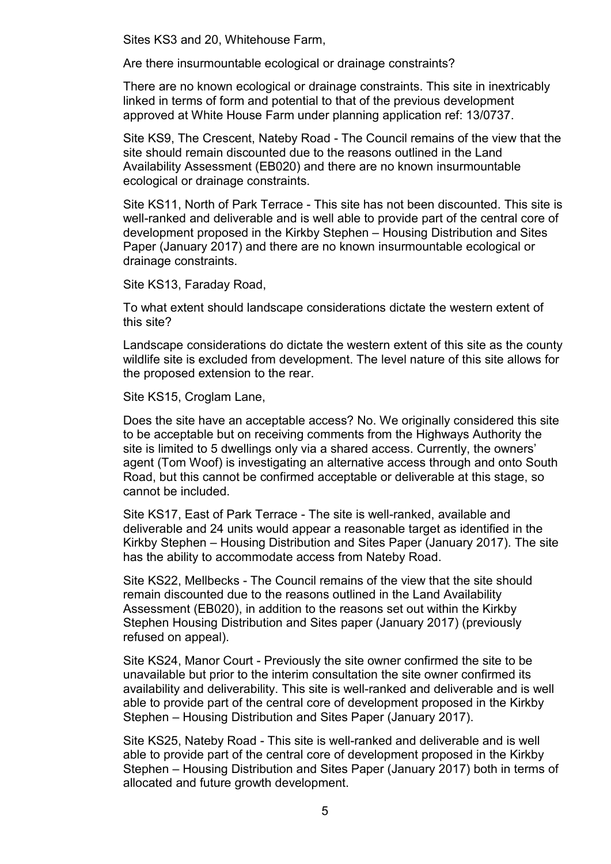Sites KS3 and 20, Whitehouse Farm,

Are there insurmountable ecological or drainage constraints?

There are no known ecological or drainage constraints. This site in inextricably linked in terms of form and potential to that of the previous development approved at White House Farm under planning application ref: 13/0737.

Site KS9, The Crescent, Nateby Road - The Council remains of the view that the site should remain discounted due to the reasons outlined in the Land Availability Assessment (EB020) and there are no known insurmountable ecological or drainage constraints.

Site KS11, North of Park Terrace - This site has not been discounted. This site is well-ranked and deliverable and is well able to provide part of the central core of development proposed in the Kirkby Stephen – Housing Distribution and Sites Paper (January 2017) and there are no known insurmountable ecological or drainage constraints.

Site KS13, Faraday Road,

To what extent should landscape considerations dictate the western extent of this site?

Landscape considerations do dictate the western extent of this site as the county wildlife site is excluded from development. The level nature of this site allows for the proposed extension to the rear.

Site KS15, Croglam Lane,

Does the site have an acceptable access? No. We originally considered this site to be acceptable but on receiving comments from the Highways Authority the site is limited to 5 dwellings only via a shared access. Currently, the owners' agent (Tom Woof) is investigating an alternative access through and onto South Road, but this cannot be confirmed acceptable or deliverable at this stage, so cannot be included.

Site KS17, East of Park Terrace - The site is well-ranked, available and deliverable and 24 units would appear a reasonable target as identified in the Kirkby Stephen – Housing Distribution and Sites Paper (January 2017). The site has the ability to accommodate access from Nateby Road.

Site KS22, Mellbecks - The Council remains of the view that the site should remain discounted due to the reasons outlined in the Land Availability Assessment (EB020), in addition to the reasons set out within the Kirkby Stephen Housing Distribution and Sites paper (January 2017) (previously refused on appeal).

Site KS24, Manor Court - Previously the site owner confirmed the site to be unavailable but prior to the interim consultation the site owner confirmed its availability and deliverability. This site is well-ranked and deliverable and is well able to provide part of the central core of development proposed in the Kirkby Stephen – Housing Distribution and Sites Paper (January 2017).

Site KS25, Nateby Road - This site is well-ranked and deliverable and is well able to provide part of the central core of development proposed in the Kirkby Stephen – Housing Distribution and Sites Paper (January 2017) both in terms of allocated and future growth development.